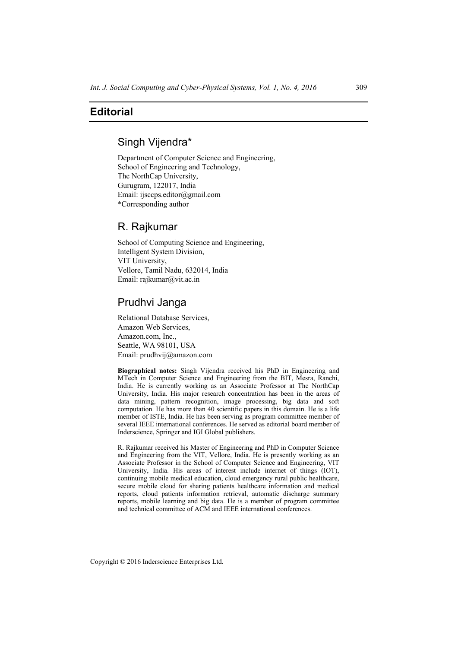### **Editorial**

# Singh Vijendra\*

Department of Computer Science and Engineering, School of Engineering and Technology, The NorthCap University, Gurugram, 122017, India Email: ijsccps.editor@gmail.com \*Corresponding author

### R. Rajkumar

School of Computing Science and Engineering, Intelligent System Division, VIT University, Vellore, Tamil Nadu, 632014, India Email: rajkumar@vit.ac.in

## Prudhvi Janga

Relational Database Services, Amazon Web Services, Amazon.com, Inc., Seattle, WA 98101, USA Email: prudhvij@amazon.com

**Biographical notes:** Singh Vijendra received his PhD in Engineering and MTech in Computer Science and Engineering from the BIT, Mesra, Ranchi, India. He is currently working as an Associate Professor at The NorthCap University, India. His major research concentration has been in the areas of data mining, pattern recognition, image processing, big data and soft computation. He has more than 40 scientific papers in this domain. He is a life member of ISTE, India. He has been serving as program committee member of several IEEE international conferences. He served as editorial board member of Inderscience, Springer and IGI Global publishers.

R. Rajkumar received his Master of Engineering and PhD in Computer Science and Engineering from the VIT, Vellore, India. He is presently working as an Associate Professor in the School of Computer Science and Engineering, VIT University, India. His areas of interest include internet of things (IOT), continuing mobile medical education, cloud emergency rural public healthcare, secure mobile cloud for sharing patients healthcare information and medical reports, cloud patients information retrieval, automatic discharge summary reports, mobile learning and big data. He is a member of program committee and technical committee of ACM and IEEE international conferences.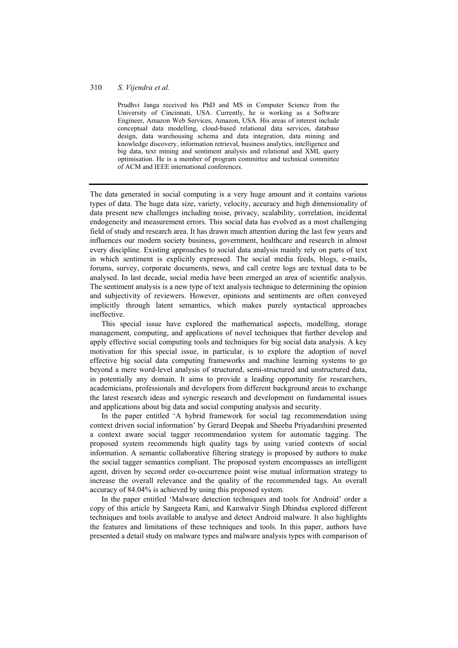#### 310 *S. Vijendra et al.*

Prudhvi Janga received his PhD and MS in Computer Science from the University of Cincinnati, USA. Currently, he is working as a Software Engineer, Amazon Web Services, Amazon, USA. His areas of interest include conceptual data modelling, cloud-based relational data services, database design, data warehousing schema and data integration, data mining and knowledge discovery, information retrieval, business analytics, intelligence and big data, text mining and sentiment analysis and relational and XML query optimisation. He is a member of program committee and technical committee of ACM and IEEE international conferences.

The data generated in social computing is a very huge amount and it contains various types of data. The huge data size, variety, velocity, accuracy and high dimensionality of data present new challenges including noise, privacy, scalability, correlation, incidental endogeneity and measurement errors. This social data has evolved as a most challenging field of study and research area. It has drawn much attention during the last few years and influences our modern society business, government, healthcare and research in almost every discipline. Existing approaches to social data analysis mainly rely on parts of text in which sentiment is explicitly expressed. The social media feeds, blogs, e-mails, forums, survey, corporate documents, news, and call centre logs are textual data to be analysed. In last decade, social media have been emerged an area of scientific analysis. The sentiment analysis is a new type of text analysis technique to determining the opinion and subjectivity of reviewers. However, opinions and sentiments are often conveyed implicitly through latent semantics, which makes purely syntactical approaches ineffective.

This special issue have explored the mathematical aspects, modelling, storage management, computing, and applications of novel techniques that further develop and apply effective social computing tools and techniques for big social data analysis. A key motivation for this special issue, in particular, is to explore the adoption of novel effective big social data computing frameworks and machine learning systems to go beyond a mere word-level analysis of structured, semi-structured and unstructured data, in potentially any domain. It aims to provide a leading opportunity for researchers, academicians, professionals and developers from different background areas to exchange the latest research ideas and synergic research and development on fundamental issues and applications about big data and social computing analysis and security.

In the paper entitled 'A hybrid framework for social tag recommendation using context driven social information' by Gerard Deepak and Sheeba Priyadarshini presented a context aware social tagger recommendation system for automatic tagging. The proposed system recommends high quality tags by using varied contexts of social information. A semantic collaborative filtering strategy is proposed by authors to make the social tagger semantics compliant. The proposed system encompasses an intelligent agent, driven by second order co-occurrence point wise mutual information strategy to increase the overall relevance and the quality of the recommended tags. An overall accuracy of 84.04% is achieved by using this proposed system.

In the paper entitled 'Malware detection techniques and tools for Android' order a copy of this article by Sangeeta Rani, and Kanwalvir Singh Dhindsa explored different techniques and tools available to analyse and detect Android malware. It also highlights the features and limitations of these techniques and tools. In this paper, authors have presented a detail study on malware types and malware analysis types with comparison of